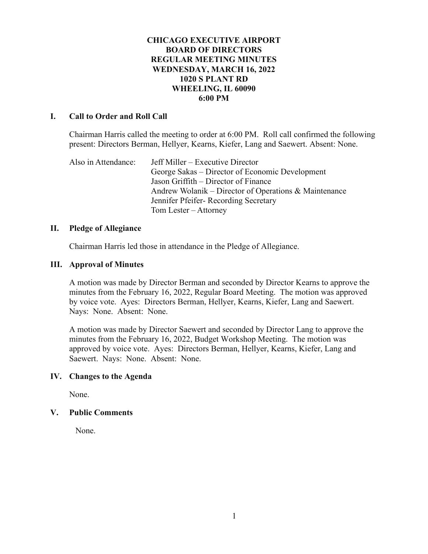## **CHICAGO EXECUTIVE AIRPORT BOARD OF DIRECTORS REGULAR MEETING MINUTES WEDNESDAY, MARCH 16, 2022 1020 S PLANT RD WHEELING, IL 60090 6:00 PM**

### **I. Call to Order and Roll Call**

Chairman Harris called the meeting to order at 6:00 PM. Roll call confirmed the following present: Directors Berman, Hellyer, Kearns, Kiefer, Lang and Saewert. Absent: None.

Also in Attendance: Jeff Miller – Executive Director George Sakas – Director of Economic Development Jason Griffith – Director of Finance Andrew Wolanik – Director of Operations & Maintenance Jennifer Pfeifer- Recording Secretary Tom Lester – Attorney

#### **II. Pledge of Allegiance**

Chairman Harris led those in attendance in the Pledge of Allegiance.

#### **III. Approval of Minutes**

A motion was made by Director Berman and seconded by Director Kearns to approve the minutes from the February 16, 2022, Regular Board Meeting. The motion was approved by voice vote. Ayes: Directors Berman, Hellyer, Kearns, Kiefer, Lang and Saewert. Nays: None. Absent: None.

A motion was made by Director Saewert and seconded by Director Lang to approve the minutes from the February 16, 2022, Budget Workshop Meeting. The motion was approved by voice vote. Ayes: Directors Berman, Hellyer, Kearns, Kiefer, Lang and Saewert. Nays: None. Absent: None.

## **IV. Changes to the Agenda**

None.

## **V. Public Comments**

None.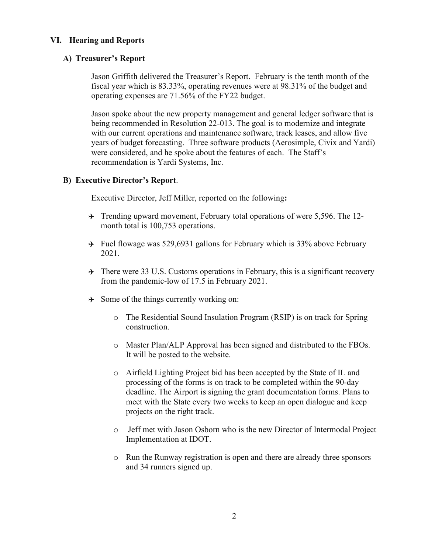## **VI. Hearing and Reports**

## **A) Treasurer's Report**

Jason Griffith delivered the Treasurer's Report. February is the tenth month of the fiscal year which is 83.33%, operating revenues were at 98.31% of the budget and operating expenses are 71.56% of the FY22 budget.

Jason spoke about the new property management and general ledger software that is being recommended in Resolution 22-013. The goal is to modernize and integrate with our current operations and maintenance software, track leases, and allow five years of budget forecasting. Three software products (Aerosimple, Civix and Yardi) were considered, and he spoke about the features of each. The Staff's recommendation is Yardi Systems, Inc.

#### **B) Executive Director's Report**.

Executive Director, Jeff Miller, reported on the following**:**

- $\rightarrow$  Trending upward movement, February total operations of were 5,596. The 12month total is 100,753 operations.
- $\rightarrow$  Fuel flowage was 529,6931 gallons for February which is 33% above February 2021.
- $\rightarrow$  There were 33 U.S. Customs operations in February, this is a significant recovery from the pandemic-low of 17.5 in February 2021.
- $\rightarrow$  Some of the things currently working on:
	- o The Residential Sound Insulation Program (RSIP) is on track for Spring construction.
	- o Master Plan/ALP Approval has been signed and distributed to the FBOs. It will be posted to the website.
	- o Airfield Lighting Project bid has been accepted by the State of IL and processing of the forms is on track to be completed within the 90-day deadline. The Airport is signing the grant documentation forms. Plans to meet with the State every two weeks to keep an open dialogue and keep projects on the right track.
	- o Jeff met with Jason Osborn who is the new Director of Intermodal Project Implementation at IDOT.
	- o Run the Runway registration is open and there are already three sponsors and 34 runners signed up.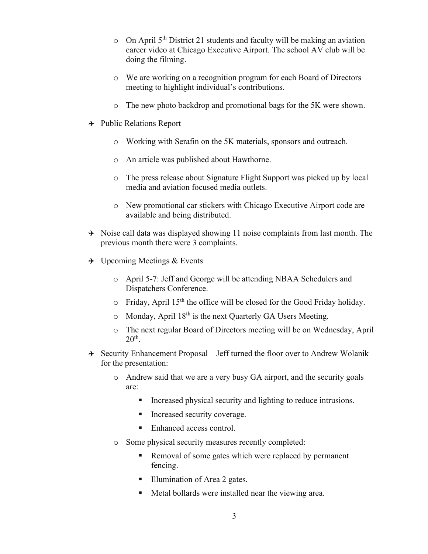- $\circ$  On April 5<sup>th</sup> District 21 students and faculty will be making an aviation career video at Chicago Executive Airport. The school AV club will be doing the filming.
- o We are working on a recognition program for each Board of Directors meeting to highlight individual's contributions.
- o The new photo backdrop and promotional bags for the 5K were shown.
- $\rightarrow$  Public Relations Report
	- o Working with Serafin on the 5K materials, sponsors and outreach.
	- o An article was published about Hawthorne.
	- o The press release about Signature Flight Support was picked up by local media and aviation focused media outlets.
	- o New promotional car stickers with Chicago Executive Airport code are available and being distributed.
- $\rightarrow$  Noise call data was displayed showing 11 noise complaints from last month. The previous month there were 3 complaints.
- $\rightarrow$  Upcoming Meetings & Events
	- o April 5-7: Jeff and George will be attending NBAA Schedulers and Dispatchers Conference.
	- $\circ$  Friday, April 15<sup>th</sup> the office will be closed for the Good Friday holiday.
	- $\circ$  Monday, April 18<sup>th</sup> is the next Quarterly GA Users Meeting.
	- o The next regular Board of Directors meeting will be on Wednesday, April  $20<sup>th</sup>$ .
- $\rightarrow$  Security Enhancement Proposal Jeff turned the floor over to Andrew Wolanik for the presentation:
	- o Andrew said that we are a very busy GA airport, and the security goals are:
		- Increased physical security and lighting to reduce intrusions.
		- **Increased security coverage.**
		- Enhanced access control.
	- o Some physical security measures recently completed:
		- Removal of some gates which were replaced by permanent fencing.
		- Illumination of Area 2 gates.
		- Metal bollards were installed near the viewing area.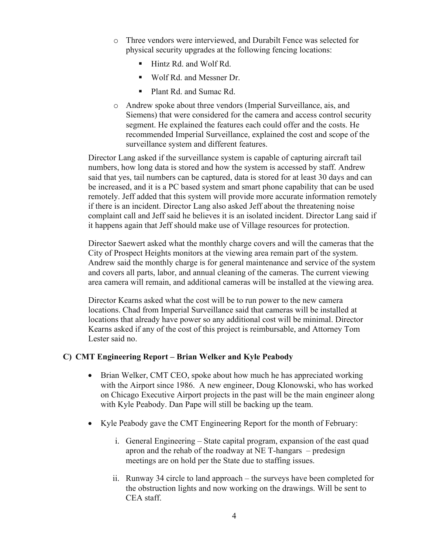- o Three vendors were interviewed, and Durabilt Fence was selected for physical security upgrades at the following fencing locations:
	- **EXECUTE:** Hintz Rd. and Wolf Rd.
	- Wolf Rd. and Messner Dr.
	- Plant Rd. and Sumac Rd.
- o Andrew spoke about three vendors (Imperial Surveillance, ais, and Siemens) that were considered for the camera and access control security segment. He explained the features each could offer and the costs. He recommended Imperial Surveillance, explained the cost and scope of the surveillance system and different features.

Director Lang asked if the surveillance system is capable of capturing aircraft tail numbers, how long data is stored and how the system is accessed by staff. Andrew said that yes, tail numbers can be captured, data is stored for at least 30 days and can be increased, and it is a PC based system and smart phone capability that can be used remotely. Jeff added that this system will provide more accurate information remotely if there is an incident. Director Lang also asked Jeff about the threatening noise complaint call and Jeff said he believes it is an isolated incident. Director Lang said if it happens again that Jeff should make use of Village resources for protection.

Director Saewert asked what the monthly charge covers and will the cameras that the City of Prospect Heights monitors at the viewing area remain part of the system. Andrew said the monthly charge is for general maintenance and service of the system and covers all parts, labor, and annual cleaning of the cameras. The current viewing area camera will remain, and additional cameras will be installed at the viewing area.

Director Kearns asked what the cost will be to run power to the new camera locations. Chad from Imperial Surveillance said that cameras will be installed at locations that already have power so any additional cost will be minimal. Director Kearns asked if any of the cost of this project is reimbursable, and Attorney Tom Lester said no.

# **C) CMT Engineering Report – Brian Welker and Kyle Peabody**

- Brian Welker, CMT CEO, spoke about how much he has appreciated working with the Airport since 1986. A new engineer, Doug Klonowski, who has worked on Chicago Executive Airport projects in the past will be the main engineer along with Kyle Peabody. Dan Pape will still be backing up the team.
- Kyle Peabody gave the CMT Engineering Report for the month of February:
	- i. General Engineering State capital program, expansion of the east quad apron and the rehab of the roadway at NE T-hangars – predesign meetings are on hold per the State due to staffing issues.
	- ii. Runway 34 circle to land approach the surveys have been completed for the obstruction lights and now working on the drawings. Will be sent to CEA staff.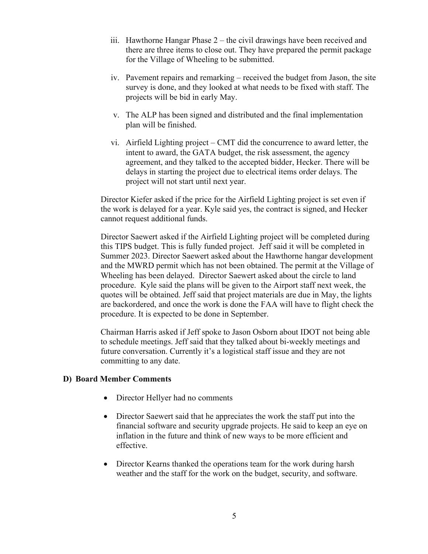- iii. Hawthorne Hangar Phase 2 the civil drawings have been received and there are three items to close out. They have prepared the permit package for the Village of Wheeling to be submitted.
- iv. Pavement repairs and remarking received the budget from Jason, the site survey is done, and they looked at what needs to be fixed with staff. The projects will be bid in early May.
- v. The ALP has been signed and distributed and the final implementation plan will be finished.
- vi. Airfield Lighting project CMT did the concurrence to award letter, the intent to award, the GATA budget, the risk assessment, the agency agreement, and they talked to the accepted bidder, Hecker. There will be delays in starting the project due to electrical items order delays. The project will not start until next year.

Director Kiefer asked if the price for the Airfield Lighting project is set even if the work is delayed for a year. Kyle said yes, the contract is signed, and Hecker cannot request additional funds.

Director Saewert asked if the Airfield Lighting project will be completed during this TIPS budget. This is fully funded project. Jeff said it will be completed in Summer 2023. Director Saewert asked about the Hawthorne hangar development and the MWRD permit which has not been obtained. The permit at the Village of Wheeling has been delayed. Director Saewert asked about the circle to land procedure. Kyle said the plans will be given to the Airport staff next week, the quotes will be obtained. Jeff said that project materials are due in May, the lights are backordered, and once the work is done the FAA will have to flight check the procedure. It is expected to be done in September.

Chairman Harris asked if Jeff spoke to Jason Osborn about IDOT not being able to schedule meetings. Jeff said that they talked about bi-weekly meetings and future conversation. Currently it's a logistical staff issue and they are not committing to any date.

## **D) Board Member Comments**

- Director Hellyer had no comments
- Director Saewert said that he appreciates the work the staff put into the financial software and security upgrade projects. He said to keep an eye on inflation in the future and think of new ways to be more efficient and effective.
- Director Kearns thanked the operations team for the work during harsh weather and the staff for the work on the budget, security, and software.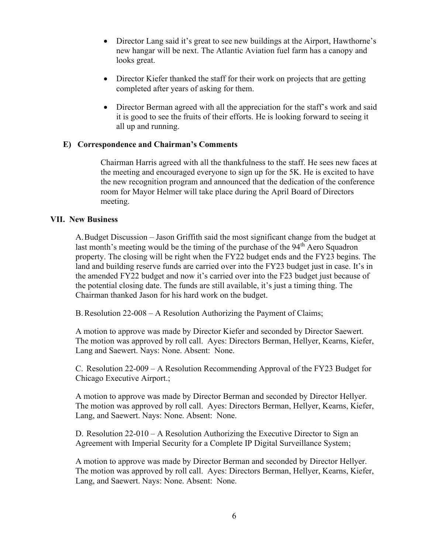- Director Lang said it's great to see new buildings at the Airport, Hawthorne's new hangar will be next. The Atlantic Aviation fuel farm has a canopy and looks great.
- Director Kiefer thanked the staff for their work on projects that are getting completed after years of asking for them.
- Director Berman agreed with all the appreciation for the staff's work and said it is good to see the fruits of their efforts. He is looking forward to seeing it all up and running.

## **E) Correspondence and Chairman's Comments**

Chairman Harris agreed with all the thankfulness to the staff. He sees new faces at the meeting and encouraged everyone to sign up for the 5K. He is excited to have the new recognition program and announced that the dedication of the conference room for Mayor Helmer will take place during the April Board of Directors meeting.

## **VII. New Business**

A.Budget Discussion – Jason Griffith said the most significant change from the budget at last month's meeting would be the timing of the purchase of the 94<sup>th</sup> Aero Squadron property. The closing will be right when the FY22 budget ends and the FY23 begins. The land and building reserve funds are carried over into the FY23 budget just in case. It's in the amended FY22 budget and now it's carried over into the F23 budget just because of the potential closing date. The funds are still available, it's just a timing thing. The Chairman thanked Jason for his hard work on the budget.

B.Resolution 22-008 – A Resolution Authorizing the Payment of Claims;

A motion to approve was made by Director Kiefer and seconded by Director Saewert. The motion was approved by roll call. Ayes: Directors Berman, Hellyer, Kearns, Kiefer, Lang and Saewert. Nays: None. Absent: None.

C. Resolution 22-009 – A Resolution Recommending Approval of the FY23 Budget for Chicago Executive Airport.;

A motion to approve was made by Director Berman and seconded by Director Hellyer. The motion was approved by roll call. Ayes: Directors Berman, Hellyer, Kearns, Kiefer, Lang, and Saewert. Nays: None. Absent: None.

D. Resolution 22-010 – A Resolution Authorizing the Executive Director to Sign an Agreement with Imperial Security for a Complete IP Digital Surveillance System;

A motion to approve was made by Director Berman and seconded by Director Hellyer. The motion was approved by roll call. Ayes: Directors Berman, Hellyer, Kearns, Kiefer, Lang, and Saewert. Nays: None. Absent: None.